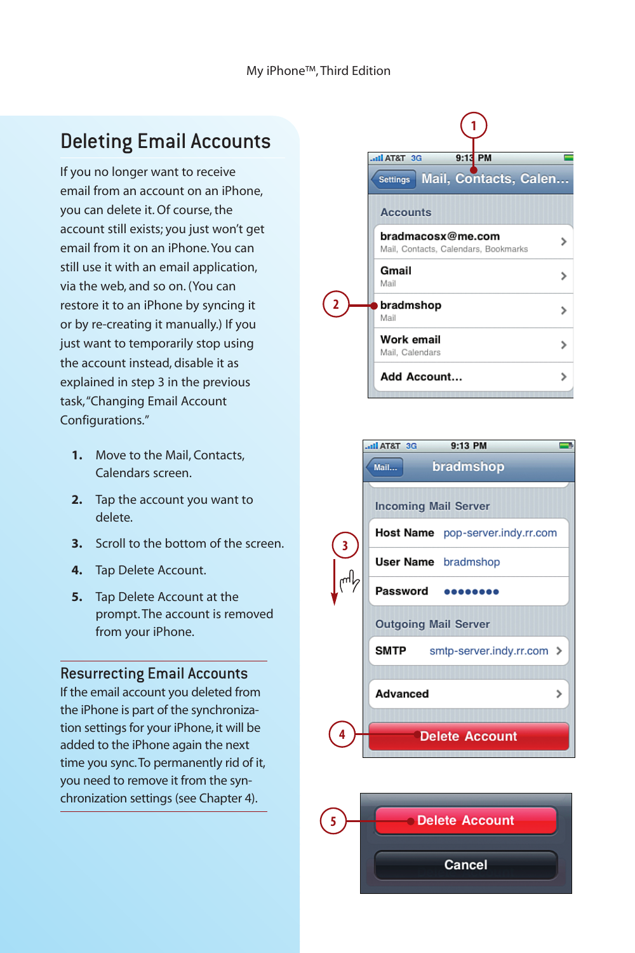# Deleting Email Accounts

If you no longer want to receive email from an account on an iPhone, you can delete it. Of course, the account still exists; you just won't get email from it on an iPhone. You can still use it with an email application, via the web, and so on. (You can restore it to an iPhone by syncing it or by re-creating it manually.) If you just want to temporarily stop using the account instead, disable it as explained in step 3 in the previous task,"Changing Email Account Configurations."

- **1.** Move to the Mail, Contacts, Calendars screen.
- **2.** Tap the account you want to delete.
- **3.** Scroll to the bottom of the screen.
- **4.** Tap Delete Account.
- **5.** Tap Delete Account at the prompt. The account is removed from your iPhone.

#### Resurrecting Email Accounts

If the email account you deleted from the iPhone is part of the synchronization settings for your iPhone, it will be added to the iPhone again the next time you sync.To permanently rid of it, you need to remove it from the synchronization settings (see Chapter 4).